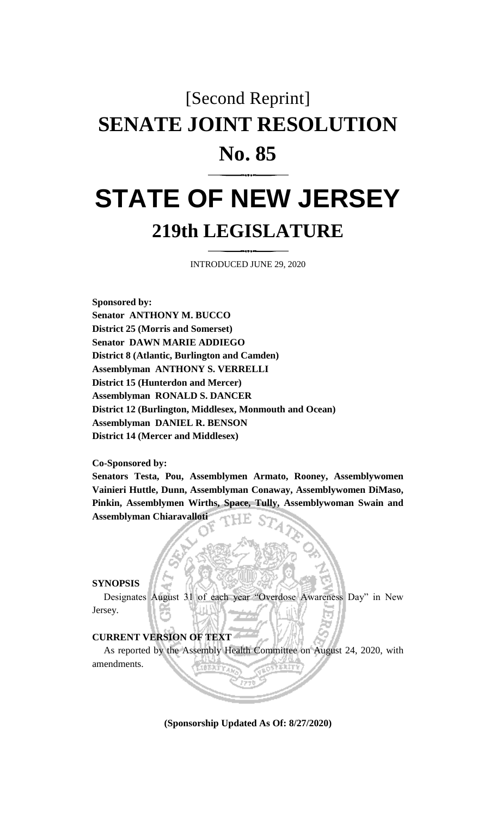### [Second Reprint]

# **SENATE JOINT RESOLUTION**

## **No. 85**

## **STATE OF NEW JERSEY 219th LEGISLATURE**

INTRODUCED JUNE 29, 2020

**Sponsored by: Senator ANTHONY M. BUCCO District 25 (Morris and Somerset) Senator DAWN MARIE ADDIEGO District 8 (Atlantic, Burlington and Camden) Assemblyman ANTHONY S. VERRELLI District 15 (Hunterdon and Mercer) Assemblyman RONALD S. DANCER District 12 (Burlington, Middlesex, Monmouth and Ocean) Assemblyman DANIEL R. BENSON District 14 (Mercer and Middlesex)**

**Co-Sponsored by:**

**Senators Testa, Pou, Assemblymen Armato, Rooney, Assemblywomen Vainieri Huttle, Dunn, Assemblyman Conaway, Assemblywomen DiMaso, Pinkin, Assemblymen Wirths, Space, Tully, Assemblywoman Swain and Assemblyman Chiaravalloti**

### **SYNOPSIS**

Designates August 31 of each year "Overdose Awareness Day" in New Jersey.

### **CURRENT VERSION OF TEXT**

As reported by the Assembly Health Committee on August 24, 2020, with amendments.

**(Sponsorship Updated As Of: 8/27/2020)**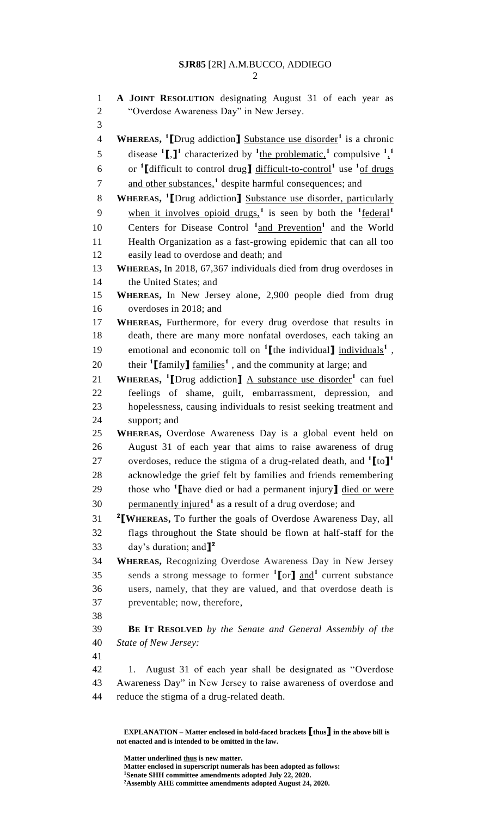2

| $\mathbf{1}$<br>$\overline{2}$ | A JOINT RESOLUTION designating August 31 of each year as<br>"Overdose Awareness Day" in New Jersey.                    |
|--------------------------------|------------------------------------------------------------------------------------------------------------------------|
| 3                              |                                                                                                                        |
| $\overline{4}$                 | <b>WHEREAS,</b> <sup>1</sup> [Drug addiction] Substance use disorder <sup>1</sup> is a chronic                         |
|                                |                                                                                                                        |
| 5                              | disease $^{1}$ [,] <sup>1</sup> characterized by $^{1}$ the problematic, <sup>1</sup> compulsive $^{1}$ , <sup>1</sup> |
| 6                              | or <sup>1</sup> [difficult to control drug] difficult-to-control <sup>1</sup> use <sup>1</sup> of drugs                |
| 7                              | and other substances, <sup>1</sup> despite harmful consequences; and                                                   |
| 8                              | WHEREAS, <sup>1</sup> [Drug addiction] Substance use disorder, particularly                                            |
| 9                              | when it involves opioid drugs, <sup>1</sup> is seen by both the $\frac{1}{1}$ federal <sup>1</sup>                     |
| 10                             | Centers for Disease Control <sup>1</sup> and Prevention <sup>1</sup> and the World                                     |
| 11                             | Health Organization as a fast-growing epidemic that can all too                                                        |
| 12                             | easily lead to overdose and death; and                                                                                 |
| 13                             | WHEREAS, In 2018, 67,367 individuals died from drug overdoses in                                                       |
| 14                             | the United States; and                                                                                                 |
| 15                             | WHEREAS, In New Jersey alone, 2,900 people died from drug                                                              |
| 16                             | overdoses in 2018; and                                                                                                 |
| 17                             | WHEREAS, Furthermore, for every drug overdose that results in                                                          |
| 18                             | death, there are many more nonfatal overdoses, each taking an                                                          |
| 19                             | emotional and economic toll on $\mathbf{1}$ [the individual] individuals <sup>1</sup> ,                                |
| 20                             | their <sup>1</sup> [family] <u>families</u> <sup>1</sup> , and the community at large; and                             |
| 21                             | <b>WHEREAS,</b> <sup>1</sup> [Drug addiction] $\overline{A}$ substance use disorder <sup>1</sup> can fuel              |
| 22                             | feelings of shame, guilt, embarrassment, depression,<br>and                                                            |
| 23                             | hopelessness, causing individuals to resist seeking treatment and                                                      |
| 24                             | support; and                                                                                                           |
| 25                             | WHEREAS, Overdose Awareness Day is a global event held on                                                              |
| 26                             | August 31 of each year that aims to raise awareness of drug                                                            |
| 27                             | overdoses, reduce the stigma of a drug-related death, and $\binom{1}{1}$ to $\binom{1}{1}$                             |
| 28                             | acknowledge the grief felt by families and friends remembering                                                         |
| 29                             | those who <sup>1</sup> I have died or had a permanent injury] died or were                                             |
| 30                             | permanently injured <sup>1</sup> as a result of a drug overdose; and                                                   |
| 31                             | <sup>2</sup> [WHEREAS, To further the goals of Overdose Awareness Day, all                                             |
| 32                             | flags throughout the State should be flown at half-staff for the                                                       |
| 33                             | day's duration; and $\mathbf{I}^2$                                                                                     |
| 34                             | <b>WHEREAS, Recognizing Overdose Awareness Day in New Jersey</b>                                                       |
| 35                             | sends a strong message to former $\binom{1}{r}$ and $\binom{1}{r}$ current substance                                   |
| 36                             | users, namely, that they are valued, and that overdose death is                                                        |
| 37                             | preventable; now, therefore,                                                                                           |
| 38                             |                                                                                                                        |
| 39                             | <b>BE IT RESOLVED</b> by the Senate and General Assembly of the                                                        |
| 40                             | State of New Jersey:                                                                                                   |
| 41                             |                                                                                                                        |
| 42                             | August 31 of each year shall be designated as "Overdose<br>1.                                                          |
| 43                             | Awareness Day" in New Jersey to raise awareness of overdose and                                                        |
| 44                             | reduce the stigma of a drug-related death.                                                                             |
|                                |                                                                                                                        |

**EXPLANATION – Matter enclosed in bold-faced brackets [thus] in the above bill is not enacted and is intended to be omitted in the law.**

**Matter underlined thus is new matter. Matter enclosed in superscript numerals has been adopted as follows: <sup>1</sup>Senate SHH committee amendments adopted July 22, 2020. <sup>2</sup>Assembly AHE committee amendments adopted August 24, 2020.**